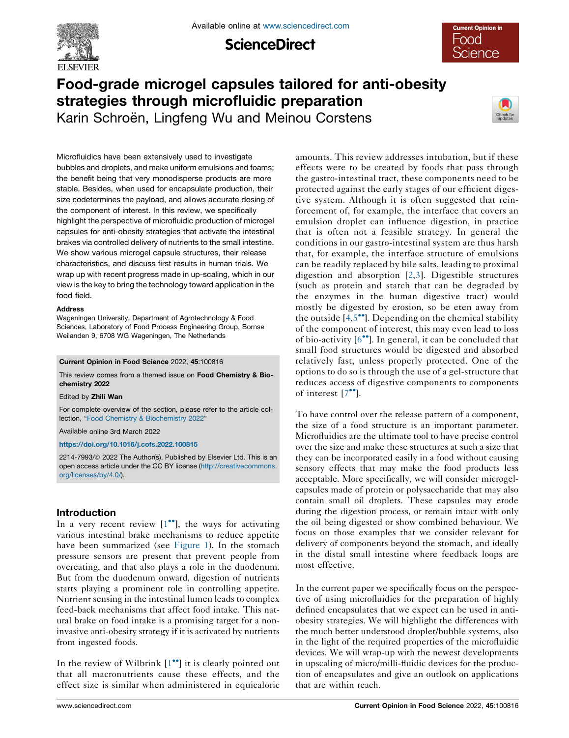

**ScienceDirect** 



# Food-grade microgel capsules tailored for anti-obesity strategies through microfluidic preparation

Karin Schroën, Lingfeng Wu and Meinou Corstens



Microfluidics have been extensively used to investigate bubbles and droplets, and make uniform emulsions and foams; the benefit being that very monodisperse products are more stable. Besides, when used for encapsulate production, their size codetermines the payload, and allows accurate dosing of the component of interest. In this review, we specifically highlight the perspective of microfluidic production of microgel capsules for anti-obesity strategies that activate the intestinal brakes via controlled delivery of nutrients to the small intestine. We show various microgel capsule structures, their release characteristics, and discuss first results in human trials. We wrap up with recent progress made in up-scaling, which in our view is the key to bring the technology toward application in the food field.

#### **Address**

Wageningen University, Department of Agrotechnology & Food Sciences, Laboratory of Food Process Engineering Group, Bornse Weilanden 9, 6708 WG Wageningen, The Netherlands

#### Current Opinion in Food Science 2022, 45:100816

This review comes from a themed issue on Food Chemistry & Biochemistry 2022

### Edited by Zhili Wan

For complete overview of the section, please refer to the article collection, "Food Chemistry & [Biochemistry](https://www.sciencedirect.com/journal/current-opinion-in-food-science/special-issue/10D71X6Q8JZ) 2022"

#### Available online 3rd March 2022

### <https://doi.org/10.1016/j.cofs.2022.100815>

2214-7993/© 2022 The Author(s). Published by Elsevier Ltd. This is an open access article under the CC BY license [\(http://creativecommons.](http://creativecommons.org/licenses/by/4.0/) [org/licenses/by/4.0/](http://creativecommons.org/licenses/by/4.0/)).

# Introduction

In a very recent review  $[1^{\bullet\bullet}]$ , the ways for [activating](#page-4-0) various intestinal brake mechanisms to reduce appetite have been summarized (see [Figure](#page-1-0) 1). In the stomach pressure sensors are present that prevent people from overeating, and that also plays a role in the duodenum. But from the duodenum onward, digestion of nutrients starts playing a prominent role in controlling appetite. Nutrient sensing in the intestinal lumen leads to complex feed-back mechanisms that affect food intake. This natural brake on food intake is a promising target for a noninvasive anti-obesity strategy if it is activated by nutrients from ingested foods.

In the review of Wilbrink  $[1^{\bullet\bullet}]$  it is clearly pointed out that all macronutrients cause these effects, and the effect size is similar when administered in equicaloric

amounts. This review addresses intubation, but if these effects were to be created by foods that pass through the gastro-intestinal tract, these components need to be protected against the early stages of our efficient digestive system. Although it is often suggested that reinforcement of, for example, the interface that covers an emulsion droplet can influence digestion, in practice that is often not a feasible strategy. In general the conditions in our gastro-intestinal system are thus harsh that, for example, the interface structure of emulsions can be readily replaced by bile salts, leading to proximal digestion and absorption [[2,3\]](#page-4-0). Digestible structures (such as protein and starch that can be degraded by the enzymes in the human digestive tract) would mostly be digested by erosion, so be eten away from the outside  $[4,5^{\bullet\bullet}]$  $[4,5^{\bullet\bullet}]$ . Depending on the chemical stability of the component of interest, this may even lead to loss of bio-activity  $[6^{\bullet\bullet}]$ . In general, it can be concluded that small food structures would be digested and absorbed relatively fast, unless properly protected. One of the options to do so is through the use of a gel-structure that reduces access of digestive components to components of interest  $[7^{\bullet\bullet}]$ .

To have control over the release pattern of a component, the size of a food structure is an important parameter. Microfluidics are the ultimate tool to have precise control over the size and make these structures at such a size that they can be incorporated easily in a food without causing sensory effects that may make the food products less acceptable. More specifically, we will consider microgelcapsules made of protein or polysaccharide that may also contain small oil droplets. These capsules may erode during the digestion process, or remain intact with only the oil being digested or show combined behaviour. We focus on those examples that we consider relevant for delivery of components beyond the stomach, and ideally in the distal small intestine where feedback loops are most effective.

In the current paper we specifically focus on the perspective of using microfluidics for the preparation of highly defined encapsulates that we expect can be used in antiobesity strategies. We will highlight the differences with the much better understood droplet/bubble systems, also in the light of the required properties of the microfluidic devices. We will wrap-up with the newest developments in upscaling of micro/milli-fluidic devices for the production of encapsulates and give an outlook on applications that are within reach.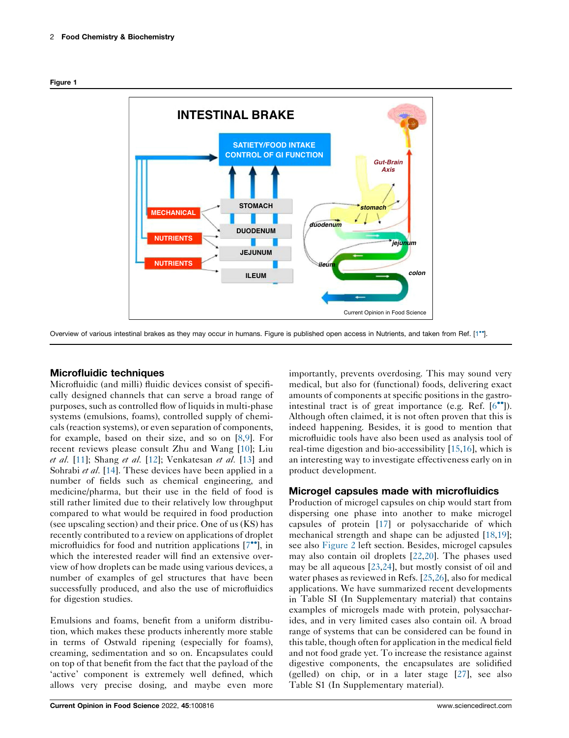<span id="page-1-0"></span>



Overview of various intestinal brakes as they may occur in humans. Figure is published open access in Nutrients, and taken from Ref. [[1](#page-4-0)<sup>\*</sup>].

# Microfluidic techniques

Microfluidic (and milli) fluidic devices consist of specifically designed channels that can serve a broad range of purposes, such as controlled flow of liquids in multi-phase systems (emulsions, foams), controlled supply of chemicals (reaction systems), or even separation of components, for example, based on their size, and so on [\[8](#page-4-0),[9\]](#page-4-0). For recent reviews please consult Zhu and Wang [[10\]](#page-4-0); Liu *et al.* [[11\]](#page-4-0); Shang *et al.* [[12\]](#page-4-0); Venkatesan *et al.* [\[13](#page-4-0)] and Sohrabi et al. [\[14](#page-4-0)]. These devices have been applied in a number of fields such as chemical engineering, and medicine/pharma, but their use in the field of food is still rather limited due to their relatively low throughput compared to what would be required in food production (see upscaling section) and their price. One of us (KS) has recently contributed to a review on applications of droplet microfluidics for food and nutrition applications  $[7\text{°}$ , in which the interested reader will find an extensive overview of how droplets can be made using various devices, a number of examples of gel structures that have been successfully produced, and also the use of microfluidics for digestion studies.

Emulsions and foams, benefit from a uniform distribution, which makes these products inherently more stable in terms of Ostwald ripening (especially for foams), creaming, sedimentation and so on. Encapsulates could on top of that benefit from the fact that the payload of the 'active' component is extremely well defined, which allows very precise dosing, and maybe even more

importantly, prevents overdosing. This may sound very medical, but also for (functional) foods, delivering exact amounts of components at specific positions in the gastrointestinal tract is of great importance (e.g. Ref.  $[6\text{°}$ ). Although often claimed, it is not often proven that this is indeed happening. Besides, it is good to mention that microfluidic tools have also been used as analysis tool of real-time digestion and bio-accessibility [[15,16](#page-4-0)], which is an interesting way to investigate effectiveness early on in product development.

# Microgel capsules made with microfluidics

Production of microgel capsules on chip would start from dispersing one phase into another to make microgel capsules of protein [[17\]](#page-4-0) or polysaccharide of which mechanical strength and shape can be adjusted [\[18](#page-4-0),[19](#page-4-0)]; see also [Figure](#page-2-0) 2 left section. Besides, microgel capsules may also contain oil droplets [[22,20](#page-5-0)]. The phases used may be all aqueous [\[23](#page-5-0),[24\]](#page-5-0), but mostly consist of oil and water phases as reviewed in Refs. [[25,26](#page-5-0)], also for medical applications. We have summarized recent developments in Table SI (In Supplementary material) that contains examples of microgels made with protein, polysaccharides, and in very limited cases also contain oil. A broad range of systems that can be considered can be found in thistable, though often for application in the medical field and not food grade yet. To increase the resistance against digestive components, the encapsulates are solidified (gelled) on chip, or in a later stage [\[27](#page-5-0)], see also Table S1 (In Supplementary material).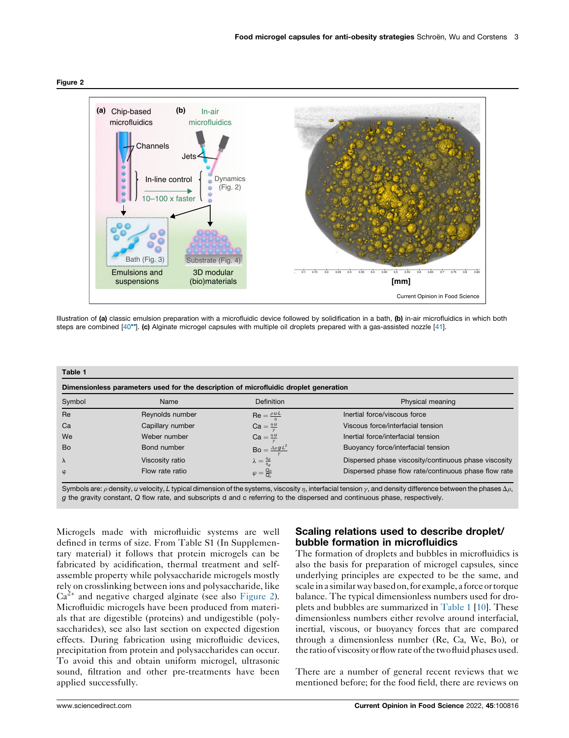

Illustration of (a) classic emulsion preparation with a microfluidic device followed by solidification in a bath, (b) in-air microfluidics in which both steps are combined  $[40^{\circ}]$  $[40^{\circ}]$  $[40^{\circ}]$ . (c) Alginate microgel capsules with multiple oil droplets prepared with a gas-assisted nozzle  $[41]$  $[41]$ .

| Table 1<br>Dimensionless parameters used for the description of microfluidic droplet generation |                  |                                                  |                                                      |
|-------------------------------------------------------------------------------------------------|------------------|--------------------------------------------------|------------------------------------------------------|
|                                                                                                 |                  |                                                  |                                                      |
| Re                                                                                              | Reynolds number  | $\text{Re} = \frac{\rho \cdot u \cdot L}{n}$     | Inertial force/viscous force                         |
| Ca                                                                                              | Capillary number | $Ca = \frac{\eta \cdot u}{v}$                    | Viscous force/interfacial tension                    |
| We                                                                                              | Weber number     | $Ca = \frac{\eta \cdot U}{\nu}$                  | Inertial force/interfacial tension                   |
| Bo                                                                                              | Bond number      | Bo = $\frac{\Delta \rho \cdot g \cdot L^2}{\nu}$ | Buoyancy force/interfacial tension                   |
| λ                                                                                               | Viscosity ratio  | $\lambda = \frac{\eta_d}{\eta_d}$                | Dispersed phase viscosity/continuous phase viscosity |
| φ                                                                                               | Flow rate ratio  | $\varphi = \frac{Q_d}{Q_c}$                      | Dispersed phase flow rate/continuous phase flow rate |

Symbols are:  $\rho$  density, u velocity, L typical dimension of the systems, viscosity  $\eta$ , interfacial tension  $\gamma$ , and density difference between the phases  $\Delta \rho$ , g the gravity constant, Q flow rate, and subscripts d and c referring to the dispersed and continuous phase, respectively.

Microgels made with microfluidic systems are well defined in terms of size. From Table S1 (In Supplementary material) it follows that protein microgels can be fabricated by acidification, thermal treatment and selfassemble property while polysaccharide microgels mostly rely on crosslinking between ions and polysaccharide, like  $Ca<sup>2+</sup>$  and negative charged alginate (see also Figure 2). Microfluidic microgels have been produced from materials that are digestible (proteins) and undigestible (polysaccharides), see also last section on expected digestion effects. During fabrication using microfluidic devices, precipitation from protein and polysaccharides can occur. To avoid this and obtain uniform microgel, ultrasonic sound, filtration and other pre-treatments have been applied successfully.

# Scaling relations used to describe droplet/ bubble formation in microfluidics

The formation of droplets and bubbles in microfluidics is also the basis for preparation of microgel capsules, since underlying principles are expected to be the same, and scale in a similar waybased on, for example, a force or torque balance. The typical dimensionless numbers used for droplets and bubbles are summarized in Table 1 [\[10](#page-4-0)]. These dimensionless numbers either revolve around interfacial, inertial, viscous, or buoyancy forces that are compared through a dimensionless number (Re, Ca, We, Bo), or the ratio of viscosity or flow rate of the two fluid phases used.

There are a number of general recent reviews that we mentioned before; for the food field, there are reviews on

<span id="page-2-0"></span>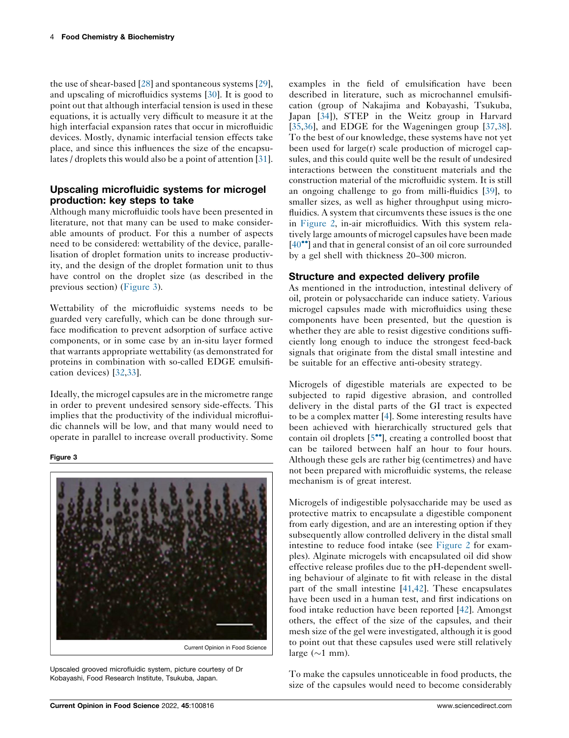the use of shear-based [[28\]](#page-5-0) and spontaneous systems [\[29](#page-5-0)], and upscaling of microfluidics systems [[30\]](#page-5-0). It is good to point out that although interfacial tension is used in these equations, it is actually very difficult to measure it at the high interfacial expansion rates that occur in microfluidic devices. Mostly, dynamic interfacial tension effects take place, and since this influences the size of the encapsulates / droplets this would also be a point of attention [\[31](#page-5-0)].

# Upscaling microfluidic systems for microgel production: key steps to take

Although many microfluidic tools have been presented in literature, not that many can be used to make considerable amounts of product. For this a number of aspects need to be considered: wettability of the device, parallelisation of droplet formation units to increase productivity, and the design of the droplet formation unit to thus have control on the droplet size (as described in the previous section) (Figure 3).

Wettability of the microfluidic systems needs to be guarded very carefully, which can be done through surface modification to prevent adsorption of surface active components, or in some case by an in-situ layer formed that warrants appropriate wettability (as demonstrated for proteins in combination with so-called EDGE emulsification devices) [\[32](#page-5-0),[33\]](#page-5-0).

Ideally, the microgel capsules are in the micrometre range in order to prevent undesired sensory side-effects. This implies that the productivity of the individual microfluidic channels will be low, and that many would need to operate in parallel to increase overall productivity. Some

### Figure 3



Upscaled grooved microfluidic system, picture courtesy of Dr Kobayashi, Food Research Institute, Tsukuba, Japan.

examples in the field of emulsification have been described in literature, such as microchannel emulsification (group of Nakajima and Kobayashi, Tsukuba, Japan [[34\]](#page-5-0)), STEP in the Weitz group in Harvard [\[35](#page-5-0),[36\]](#page-5-0), and EDGE for the Wageningen group [\[37](#page-5-0),[38](#page-5-0)]. To the best of our knowledge, these systems have not yet been used for large(r) scale production of microgel capsules, and this could quite well be the result of undesired interactions between the constituent materials and the construction material of the microfluidic system. It is still an ongoing challenge to go from milli-fluidics [[39\]](#page-5-0), to smaller sizes, as well as higher throughput using microfluidics. A system that circumvents these issues is the one in [Figure](#page-2-0) 2, in-air microfluidics. With this system relatively large amounts of microgel capsules have been made  $[40\degree]$  $[40\degree]$  and that in general consist of an oil core surrounded by a gel shell with thickness 20–300 micron.

# Structure and expected delivery profile

As mentioned in the introduction, intestinal delivery of oil, protein or polysaccharide can induce satiety. Various microgel capsules made with microfluidics using these components have been presented, but the question is whether they are able to resist digestive conditions sufficiently long enough to induce the strongest feed-back signals that originate from the distal small intestine and be suitable for an effective anti-obesity strategy.

Microgels of digestible materials are expected to be subjected to rapid digestive abrasion, and controlled delivery in the distal parts of the GI tract is expected to be a complex matter [[4\]](#page-4-0). Some interesting results have been achieved with hierarchically structured gels that contain oil droplets  $[5\text{''}$ , creating a controlled boost that can be tailored between half an hour to four hours. Although these gels are rather big (centimetres) and have not been prepared with microfluidic systems, the release mechanism is of great interest.

Microgels of indigestible polysaccharide may be used as protective matrix to encapsulate a digestible component from early digestion, and are an interesting option if they subsequently allow controlled delivery in the distal small intestine to reduce food intake (see [Figure](#page-2-0) 2 for examples). Alginate microgels with encapsulated oil did show effective release profiles due to the pH-dependent swelling behaviour of alginate to fit with release in the distal part of the small intestine [[41,42](#page-5-0)]. These encapsulates have been used in a human test, and first indications on food intake reduction have been reported [[42\]](#page-5-0). Amongst others, the effect of the size of the capsules, and their mesh size of the gel were investigated, although it is good to point out that these capsules used were still relatively large  $(\sim 1$  mm).

To make the capsules unnoticeable in food products, the size of the capsules would need to become considerably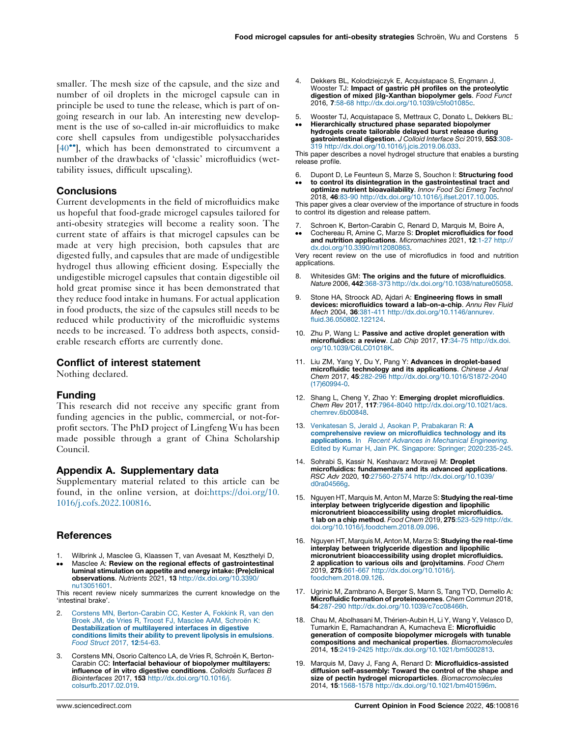<span id="page-4-0"></span>smaller. The mesh size of the capsule, and the size and number of oil droplets in the microgel capsule can in principle be used to tune the release, which is part of ongoing research in our lab. An interesting new development is the use of so-called in-air microfluidics to make core shell capsules from undigestible polysaccharides  $[40\text{°}]$  $[40\text{°}]$ , which has been demonstrated to circumvent a number of the drawbacks of 'classic' microfluidics (wettability issues, difficult upscaling).

# **Conclusions**

Current developments in the field of microfluidics make us hopeful that food-grade microgel capsules tailored for anti-obesity strategies will become a reality soon. The current state of affairs is that microgel capsules can be made at very high precision, both capsules that are digested fully, and capsules that are made of undigestible hydrogel thus allowing efficient dosing. Especially the undigestible microgel capsules that contain digestible oil hold great promise since it has been demonstrated that they reduce food intake in humans. For actual application in food products, the size of the capsules still needs to be reduced while productivity of the microfluidic systems needs to be increased. To address both aspects, considerable research efforts are currently done.

### Conflict of interest statement

Nothing declared.

# Funding

This research did not receive any specific grant from funding agencies in the public, commercial, or not-forprofit sectors. The PhD project of Lingfeng Wu has been made possible through a grant of China Scholarship Council.

### Appendix A. Supplementary data

Supplementary material related to this article can be found, in the online version, at doi:[https://doi.org/10.](https://doi.org/10.1016/j.cofs.2022.100816) [1016/j.cofs.2022.100816.](https://doi.org/10.1016/j.cofs.2022.100816)

# References

- 1. Wilbrink J, Masclee G, Klaassen T, van Avesaat M, Keszthelyi D,
- $\ddot{\phantom{0}}$ Masclee A: Review on the regional effects of gastrointestinal luminal stimulation on appetite and energy intake: (Pre)clinical observations. Nutrients 2021, 13 [http://dx.doi.org/10.3390/](http://dx.doi.org/10.3390/nu13051601) [nu13051601.](http://dx.doi.org/10.3390/nu13051601)

This recent review nicely summarizes the current knowledge on the 'intestinal brake'.

- 2. Corstens MN, [Berton-Carabin](http://refhub.elsevier.com/S2214-7993(22)00018-2/sbref0010) CC, Kester A, Fokkink R, van den Broek JM, de Vries R, Troost FJ, [Masclee](http://refhub.elsevier.com/S2214-7993(22)00018-2/sbref0010) AAM, Schroe¨ n K: [Destabilization](http://refhub.elsevier.com/S2214-7993(22)00018-2/sbref0010) of multilayered interfaces in digestive [conditions](http://refhub.elsevier.com/S2214-7993(22)00018-2/sbref0010) limits their ability to prevent lipolysis in emulsions. Food Struct 2017, 12[:54-63.](http://refhub.elsevier.com/S2214-7993(22)00018-2/sbref0010)
- 3. Corstens MN, Osorio Caltenco LA, de Vries R, Schroën K, Berton-Carabin CC: Interfacial behaviour of biopolymer multilayers: influence of in vitro digestive conditions. Colloids Surfaces B Biointerfaces 2017, 153 [http://dx.doi.org/10.1016/j.](http://dx.doi.org/10.1016/j.colsurfb.2017.02.019) [colsurfb.2017.02.019.](http://dx.doi.org/10.1016/j.colsurfb.2017.02.019)
- 4. Dekkers BL, Kolodziejczyk E, Acquistapace S, Engmann J, Wooster TJ: Impact of gastric pH profiles on the proteolytic digestion of mixed Blg-Xanthan biopolymer gels. Food Funct 2016, 7:58-68 <http://dx.doi.org/10.1039/c5fo01085c>.
- 5. Wooster TJ, Acquistapace S, Mettraux C, Donato L, Dekkers BL:
- $\ddot{\phantom{0}}$ Hierarchically structured phase separated biopolymer hydrogels create tailorable delayed burst release during gastrointestinal digestion. J Colloid Interface Sci 2019, 553:308-319 [http://dx.doi.org/10.1016/j.jcis.2019.06.033.](http://dx.doi.org/10.1016/j.jcis.2019.06.033)

This paper describes a novel hydrogel structure that enables a bursting release profile.

6.  $\ddot{\phantom{0}}$ Dupont D, Le Feunteun S, Marze S, Souchon I: Structuring food to control its disintegration in the gastrointestinal tract and optimize nutrient bioavailability. Innov Food Sci Emerg Technol

2018, 46:83-90 <http://dx.doi.org/10.1016/j.ifset.2017.10.005>. This paper gives a clear overview of the importance of structure in foods to control its digestion and release pattern.

- 7. Schroen K, Berton-Carabin C, Renard D, Marquis M, Boire A,
- $\ddot{\phantom{0}}$ Cochereau R, Amine C, Marze S: Droplet microfluidics for food and nutrition applications. Micromachines 2021, 12:1-27 [http://](http://dx.doi.org/10.3390/mi12080863) [dx.doi.org/10.3390/mi12080863.](http://dx.doi.org/10.3390/mi12080863)

Very recent review on the use of microfludics in food and nutrition applications.

- 8. Whitesides GM: The origins and the future of microfluidics. Nature 2006, 442:368-373 <http://dx.doi.org/10.1038/nature05058>.
- Stone HA, Stroock AD, Ajdari A: Engineering flows in small devices: microfluidics toward a lab-on-a-chip. Annu Rev Fluid Mech 2004, 36:381-411 [http://dx.doi.org/10.1146/annurev.](http://dx.doi.org/10.1146/annurev.fluid.36.050802.122124) [fluid.36.050802.122124.](http://dx.doi.org/10.1146/annurev.fluid.36.050802.122124)
- 10. Zhu P, Wang L: Passive and active droplet generation with microfluidics: a review. Lab Chip 2017, 17:34-75 [http://dx.doi.](http://dx.doi.org/10.1039/C6LC01018K) [org/10.1039/C6LC01018K](http://dx.doi.org/10.1039/C6LC01018K).
- 11. Liu ZM, Yang Y, Du Y, Pang Y: Advances in droplet-based microfluidic technology and its applications. Chinese J Anal Chem 2017, 45:282-296 [http://dx.doi.org/10.1016/S1872-2040](http://dx.doi.org/10.1016/S1872-2040(17)60994-0) [\(17\)60994-0](http://dx.doi.org/10.1016/S1872-2040(17)60994-0).
- 12. Shang L, Cheng Y, Zhao Y: Emerging droplet microfluidics. Chem Rev 2017, 117:7964-8040 [http://dx.doi.org/10.1021/acs.](http://dx.doi.org/10.1021/acs.chemrev.6b00848) [chemrev.6b00848.](http://dx.doi.org/10.1021/acs.chemrev.6b00848)
- 13. [Venkatesan](http://refhub.elsevier.com/S2214-7993(22)00018-2/sbref0065) S, Jerald J, Asokan P, Prabakaran R: A [comprehensive](http://refhub.elsevier.com/S2214-7993(22)00018-2/sbref0065) review on microfluidics technology and its [applications](http://refhub.elsevier.com/S2214-7993(22)00018-2/sbref0065). In Recent Advances in Mechanical Engineering. Edited by Kumar H, Jain PK. Singapore: Springer; [2020:235-245](http://refhub.elsevier.com/S2214-7993(22)00018-2/sbref0065).
- 14. Sohrabi S, Kassir N, Keshavarz Moraveji M: Droplet microfluidics: fundamentals and its advanced applications. RSC Adv 2020, 10:27560-27574 [http://dx.doi.org/10.1039/](http://dx.doi.org/10.1039/d0ra04566g) [d0ra04566g.](http://dx.doi.org/10.1039/d0ra04566g)
- 15. Nguyen HT, Marquis M, Anton M, Marze S: Studying the real-time interplay between triglyceride digestion and lipophilic micronutrient bioaccessibility using droplet microfluidics. 1 lab on a chip method. Food Chem 2019, 275:523-529 [http://dx.](http://dx.doi.org/10.1016/j.foodchem.2018.09.096) [doi.org/10.1016/j.foodchem.2018.09.096](http://dx.doi.org/10.1016/j.foodchem.2018.09.096).
- 16. Nguyen HT, Marquis M, Anton M, Marze S: Studying the real-time interplay between triglyceride digestion and lipophilic micronutrient bioaccessibility using droplet microfluidics. 2 application to various oils and (pro)vitamins. Food Chem 2019, 275:661-667 [http://dx.doi.org/10.1016/j.](http://dx.doi.org/10.1016/j.foodchem.2018.09.126) [foodchem.2018.09.126.](http://dx.doi.org/10.1016/j.foodchem.2018.09.126)
- 17. Ugrinic M, Zambrano A, Berger S, Mann S, Tang TYD, Demello A: Microfluidic formation of proteinosomes. Chem Commun 2018, 54:287-290 <http://dx.doi.org/10.1039/c7cc08466h>.
- 18. Chau M, Abolhasani M, Thérien-Aubin H, Li Y, Wang Y, Velasco D, Tumarkin E, Ramachandran A, Kumacheva E: Microfluidic generation of composite biopolymer microgels with tunable compositions and mechanical properties. Biomacromolecules 2014, 15:2419-2425 <http://dx.doi.org/10.1021/bm5002813>.
- 19. Marquis M, Davy J, Fang A, Renard D: Microfluidics-assisted diffusion self-assembly: Toward the control of the shape and size of pectin hydrogel microparticles. Biomacromolecules 2014, 15:1568-1578 [http://dx.doi.org/10.1021/bm401596m.](http://dx.doi.org/10.1021/bm401596m)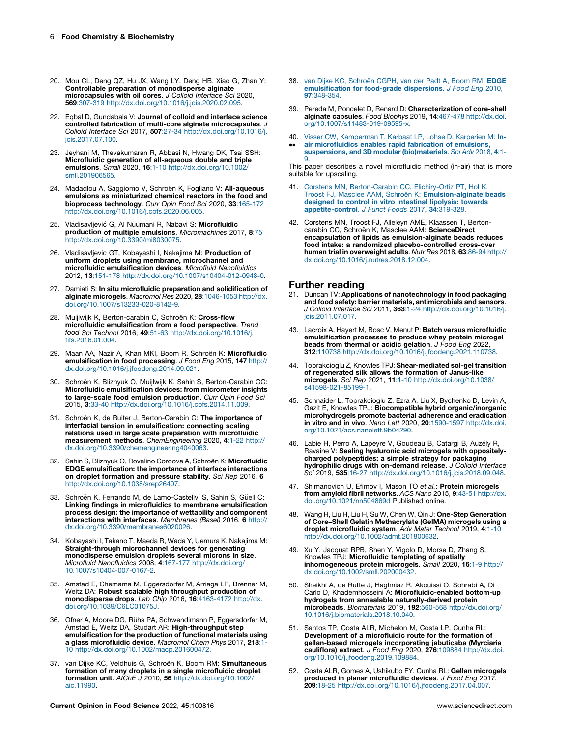- <span id="page-5-0"></span>20. Mou CL, Deng QZ, Hu JX, Wang LY, Deng HB, Xiao G, Zhan Y: Controllable preparation of monodisperse alginate microcapsules with oil cores. J Colloid Interface Sci 2020, 569:307-319 <http://dx.doi.org/10.1016/j.jcis.2020.02.095>.
- 22. Eqbal D, Gundabala V: Journal of colloid and interface science controlled fabrication of multi-core alginate microcapsules. J Colloid Interface Sci 2017, 507:27-34 [http://dx.doi.org/10.1016/j.](http://dx.doi.org/10.1016/j.jcis.2017.07.100) [jcis.2017.07.100.](http://dx.doi.org/10.1016/j.jcis.2017.07.100)
- 23. Jeyhani M, Thevakumaran R, Abbasi N, Hwang DK, Tsai SSH: Microfluidic generation of all-aqueous double and triple emulsions. Small 2020, 16:1-10 [http://dx.doi.org/10.1002/](http://dx.doi.org/10.1002/smll.201906565) [smll.201906565.](http://dx.doi.org/10.1002/smll.201906565)
- 24. Madadlou A, Saggiomo V, Schroën K, Fogliano V: All-aqueous emulsions as miniaturized chemical reactors in the food and bioprocess technology. Curr Opin Food Sci 2020, 33:165-172 [http://dx.doi.org/10.1016/j.cofs.2020.06.005.](http://dx.doi.org/10.1016/j.cofs.2020.06.005)
- 25. Vladisavljević G, Al Nuumani R, Nabavi S: Microfluidic **production of multiple emulsions**. *Micromachine*s 2017, **8**:75<br><http://dx.doi.org/10.3390/mi8030075>.
- 26. Vladisavljevic GT, Kobayashi I, Nakajima M: Production of uniform droplets using membrane, microchannel and microfluidic emulsification devices. Microfluid Nanofluidics 2012, 13:151-178 <http://dx.doi.org/10.1007/s10404-012-0948-0>.
- 27. Damiati S: In situ microfluidic preparation and solidification of alginate microgels. Macromol Res 2020, 28:1046-1053 [http://dx.](http://dx.doi.org/10.1007/s13233-020-8142-9) [doi.org/10.1007/s13233-020-8142-9.](http://dx.doi.org/10.1007/s13233-020-8142-9)
- 28. Muijlwijk K, Berton-carabin C, Schroën K: **Cross-flow**<br>microfluidic emulsification from a food perspective. Trend food Sci Technol 2016, 49:51-63 [http://dx.doi.org/10.1016/j.](http://dx.doi.org/10.1016/j.tifs.2016.01.004) [tifs.2016.01.004.](http://dx.doi.org/10.1016/j.tifs.2016.01.004)
- 29. Maan AA, Nazir A, Khan MKI, Boom R, Schroën K: Microfluidic emulsification in food processing. J Food Eng 2015, 147 [http://](http://dx.doi.org/10.1016/j.jfoodeng.2014.09.021) [dx.doi.org/10.1016/j.jfoodeng.2014.09.021.](http://dx.doi.org/10.1016/j.jfoodeng.2014.09.021)
- 30. Schroën K, Bliznyuk O, Muijlwijk K, Sahin S, Berton-Carabin CC: Microfluidic emulsification devices: from micrometer insights to large-scale food emulsion production. Curr Opin Food Sci 2015, 3:33-40 <http://dx.doi.org/10.1016/j.cofs.2014.11.009>.
- 31. Schroën K, de Ruiter J, Berton-Carabin C: The importance of interfacial tension in emulsification: connecting scaling relations used in large scale preparation with microfluidic measurement methods. ChemEngineering 2020, 4:1-22 [http://](http://dx.doi.org/10.3390/chemengineering4040063) [dx.doi.org/10.3390/chemengineering4040063.](http://dx.doi.org/10.3390/chemengineering4040063)
- 32. Sahin S, Bliznyuk O, Rovalino Cordova A, Schroën K: Microfluidic EDGE emulsification: the importance of interface interactions on droplet formation and pressure stability. Sci Rep 2016, 6 [http://dx.doi.org/10.1038/srep26407.](http://dx.doi.org/10.1038/srep26407)
- 33. Schroën K, Ferrando M, de Lamo-Castellví S, Sahin S, Güell C: Linking findings in microfluidics to membrane emulsification process design: the importance of wettability and component<br>interactions with interfaces. *Membranes (Basel)* 2016, 6 [http://](http://dx.doi.org/10.3390/membranes6020026) [dx.doi.org/10.3390/membranes6020026.](http://dx.doi.org/10.3390/membranes6020026)
- 34. Kobayashi I, Takano T, Maeda R, Wada Y, Uemura K, Nakajima M: Straight-through microchannel devices for generating monodisperse emulsion droplets several microns in size. Microfluid Nanofluidics 2008, 4:167-177 [http://dx.doi.org/](http://dx.doi.org/10.1007/s10404-007-0167-2) [10.1007/s10404-007-0167-2.](http://dx.doi.org/10.1007/s10404-007-0167-2)
- 35. Amstad E, Chemama M, Eggersdorfer M, Arriaga LR, Brenner M, Weitz DA: Robust scalable high throughput production of monodisperse drops. Lab Chip 2016, 16:4163-4172 [http://dx.](http://dx.doi.org/10.1039/C6LC01075J) [doi.org/10.1039/C6LC01075J](http://dx.doi.org/10.1039/C6LC01075J).
- 36. Ofner A, Moore DG, Rühs PA, Schwendimann P, Eggersdorfer M, Amstad E, Weitz DA, Studart AR: High-throughput step emulsification for the production of functional materials using a glass microfluidic device. Macromol Chem Phys 2017, 218:1- 10 <http://dx.doi.org/10.1002/macp.201600472>.
- 37. van Dijke KC, Veldhuis G, Schroën K, Boom RM: Simultaneous formation of many droplets in a single microfluidic droplet formation unit. AIChE J 2010, 56 [http://dx.doi.org/10.1002/](http://dx.doi.org/10.1002/aic.11990) [aic.11990.](http://dx.doi.org/10.1002/aic.11990)
- 38. van Dijke KC, Schroën CGPH, van der Padt A, Boom RM: EDGE [emulsification](http://refhub.elsevier.com/S2214-7993(22)00018-2/sbref0185) for food-grade dispersions. J Food Eng 2010, 97[:348-354.](http://refhub.elsevier.com/S2214-7993(22)00018-2/sbref0185)
- 39. Pereda M, Poncelet D, Renard D: Characterization of core-shell **alginate capsules.** *Food Biophys* **2019, 14**:467-478 [http://dx.doi.](http://dx.doi.org/10.1007/s11483-019-09595-x)<br>[org/10.1007/s11483-019-09595-x](http://dx.doi.org/10.1007/s11483-019-09595-x).
- 40. Visser CW, [Kamperman](http://refhub.elsevier.com/S2214-7993(22)00018-2/sbref0195) T, Karbaat LP, Lohse D, Karperien M: In- $\ddot{\phantom{0}}$ air [microfluidics](http://refhub.elsevier.com/S2214-7993(22)00018-2/sbref0195) enables rapid fabrication of emulsions, suspensions, and 3D modular [\(bio\)materials](http://refhub.elsevier.com/S2214-7993(22)00018-2/sbref0195). Sci Adv 2018, 4:1- [9.](http://refhub.elsevier.com/S2214-7993(22)00018-2/sbref0195)

This paper describes a novel microfluidic method (in-air) that is more suitable for upscaling.

- 41. Corstens MN, [Berton-Carabin](http://refhub.elsevier.com/S2214-7993(22)00018-2/sbref0200) CC, Elichiry-Ortiz PT, Hol K, Troost FJ, Masclee AAM, Schroën K: [Emulsion-alginate](http://refhub.elsevier.com/S2214-7993(22)00018-2/sbref0200) beads designed to control in vitro [intestinal](http://refhub.elsevier.com/S2214-7993(22)00018-2/sbref0200) lipolysis: towards [appetite-control](http://refhub.elsevier.com/S2214-7993(22)00018-2/sbref0200). J Funct Foods 2017, 34:319-328.
- 42. Corstens MN, Troost FJ, Alleleyn AME, Klaassen T, Bertoncarabin CC, Schroën K, Masclee AAM: ScienceDirect encapsulation of lipids as emulsion-alginate beads reduces food intake: a randomized placebo-controlled cross-over human trial in overweight adults. Nutr Res 2018, 63:86-94 [http://](http://dx.doi.org/10.1016/j.nutres.2018.12.004) [dx.doi.org/10.1016/j.nutres.2018.12.004](http://dx.doi.org/10.1016/j.nutres.2018.12.004).

### Further reading

- 21. Duncan TV: Applications of nanotechnology in food packaging and food safety: barrier materials, antimicrobials and sensors. J Colloid Interface Sci 2011, 363:1-24 [http://dx.doi.org/10.1016/j.](http://dx.doi.org/10.1016/j.jcis.2011.07.017) [jcis.2011.07.017](http://dx.doi.org/10.1016/j.jcis.2011.07.017).
- 43. Lacroix A, Hayert M, Bosc V, Menut P: Batch versus microfluidic emulsification processes to produce whey protein microgel<br>beads from thermal or acidic gelation. J Food Eng 2022, 312:110738 [http://dx.doi.org/10.1016/j.jfoodeng.2021.110738.](http://dx.doi.org/10.1016/j.jfoodeng.2021.110738)
- 44. Toprakcioglu Z, Knowles TPJ: Shear-mediated sol-gel transition of regenerated silk allows the formation of Janus-like microgels. Sci Rep 2021, 11:1-10 [http://dx.doi.org/10.1038/](http://dx.doi.org/10.1038/s41598-021-85199-1) [s41598-021-85199-1.](http://dx.doi.org/10.1038/s41598-021-85199-1)
- 45. Schnaider L, Toprakcioglu Z, Ezra A, Liu X, Bychenko D, Levin A, Gazit E, Knowles TPJ: Biocompatible hybrid organic/inorganic microhydrogels promote bacterial adherence and eradication in vitro and in vivo. Nano Lett 2020, 20:1590-1597 [http://dx.doi.](http://dx.doi.org/10.1021/acs.nanolett.9b04290) [org/10.1021/acs.nanolett.9b04290.](http://dx.doi.org/10.1021/acs.nanolett.9b04290)
- 46. Labie H, Perro A, Lapeyre V, Goudeau B, Catargi B, Auzély R Ravaine V: Sealing hyaluronic acid microgels with oppositelycharged polypeptides: a simple strategy for packaging hydrophilic drugs with on-demand release. J Colloid Interface Sci 2019, 535:16-27 <http://dx.doi.org/10.1016/j.jcis.2018.09.048>.
- 47. Shimanovich U, Efimov I, Mason TO et al.: Protein microgels from amyloid fibril networks. ACS Nano 2015, 9:43-51 [http://dx.](http://dx.doi.org/10.1021/nn504869d) [doi.org/10.1021/nn504869d](http://dx.doi.org/10.1021/nn504869d) Published online.
- 48. Wang H, Liu H, Liu H, Su W, Chen W, Qin J: One-Step Generation of Core–Shell Gelatin Methacrylate (GelMA) microgels using a droplet microfluidic system. Adv Mater Technol 2019, 4:1-10 <http://dx.doi.org/10.1002/admt.201800632>.
- 49. Xu Y, Jacquat RPB, Shen Y, Vigolo D, Morse D, Zhang S, Knowles TPJ: Microfluidic templating of spatially inhomogeneous protein microgels. Small 2020, 16:1-9 [http://](http://dx.doi.org/10.1002/smll.202000432) [dx.doi.org/10.1002/smll.202000432](http://dx.doi.org/10.1002/smll.202000432).
- 50. Sheikhi A, de Rutte J, Haghniaz R, Akouissi O, Sohrabi A, Di Carlo D, Khademhosseini A: Microfluidic-enabled bottom-up hydrogels from annealable naturally-derived protein microbeads. Biomaterials 2019, 192:560-568 [http://dx.doi.org/](http://dx.doi.org/10.1016/j.biomaterials.2018.10.040) [10.1016/j.biomaterials.2018.10.040.](http://dx.doi.org/10.1016/j.biomaterials.2018.10.040)
- 51. Santos TP, Costa ALR, Michelon M, Costa LP, Cunha RL: Development of a microfluidic route for the formation of gellan-based microgels incorporating jabuticaba (Myrciaria **cauliflora) extract**. *J Food Eng* 2020, **276**:109884 [http://dx.doi.](http://dx.doi.org/10.1016/j.jfoodeng.2019.109884)<br>[org/10.1016/j.jfoodeng.2019.109884](http://dx.doi.org/10.1016/j.jfoodeng.2019.109884).
- 52. Costa ALR, Gomes A, Ushikubo FY, Cunha RL: Gellan microgels produced in planar microfluidic devices. J Food Eng 2017, 209:18-25 [http://dx.doi.org/10.1016/j.jfoodeng.2017.04.007.](http://dx.doi.org/10.1016/j.jfoodeng.2017.04.007)